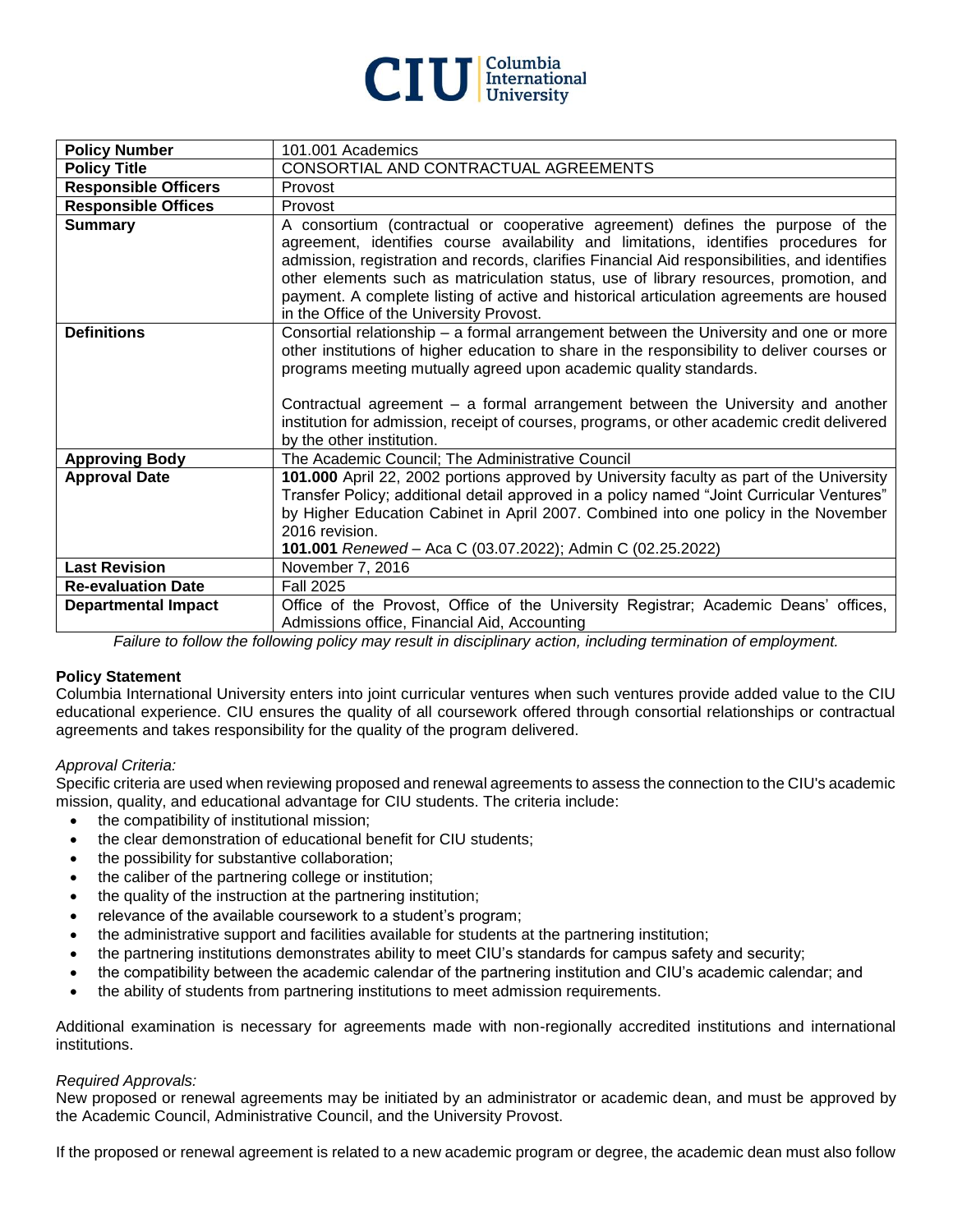

| <b>Policy Number</b>        | 101.001 Academics                                                                                                                                                                                                                                                                                                                                                                                                                                                                                       |
|-----------------------------|---------------------------------------------------------------------------------------------------------------------------------------------------------------------------------------------------------------------------------------------------------------------------------------------------------------------------------------------------------------------------------------------------------------------------------------------------------------------------------------------------------|
| <b>Policy Title</b>         | CONSORTIAL AND CONTRACTUAL AGREEMENTS                                                                                                                                                                                                                                                                                                                                                                                                                                                                   |
| <b>Responsible Officers</b> | Provost                                                                                                                                                                                                                                                                                                                                                                                                                                                                                                 |
| <b>Responsible Offices</b>  | Provost                                                                                                                                                                                                                                                                                                                                                                                                                                                                                                 |
| <b>Summary</b>              | A consortium (contractual or cooperative agreement) defines the purpose of the<br>agreement, identifies course availability and limitations, identifies procedures for<br>admission, registration and records, clarifies Financial Aid responsibilities, and identifies<br>other elements such as matriculation status, use of library resources, promotion, and<br>payment. A complete listing of active and historical articulation agreements are housed<br>in the Office of the University Provost. |
| <b>Definitions</b>          | Consortial relationship - a formal arrangement between the University and one or more<br>other institutions of higher education to share in the responsibility to deliver courses or<br>programs meeting mutually agreed upon academic quality standards.<br>Contractual agreement – a formal arrangement between the University and another<br>institution for admission, receipt of courses, programs, or other academic credit delivered<br>by the other institution.                                |
| <b>Approving Body</b>       | The Academic Council; The Administrative Council                                                                                                                                                                                                                                                                                                                                                                                                                                                        |
| <b>Approval Date</b>        | 101.000 April 22, 2002 portions approved by University faculty as part of the University<br>Transfer Policy; additional detail approved in a policy named "Joint Curricular Ventures"<br>by Higher Education Cabinet in April 2007. Combined into one policy in the November<br>2016 revision.<br>101.001 Renewed - Aca C (03.07.2022); Admin C (02.25.2022)                                                                                                                                            |
| <b>Last Revision</b>        | November 7, 2016                                                                                                                                                                                                                                                                                                                                                                                                                                                                                        |
| <b>Re-evaluation Date</b>   | <b>Fall 2025</b>                                                                                                                                                                                                                                                                                                                                                                                                                                                                                        |
| <b>Departmental Impact</b>  | Office of the Provost, Office of the University Registrar; Academic Deans' offices,                                                                                                                                                                                                                                                                                                                                                                                                                     |
|                             | Admissions office, Financial Aid, Accounting                                                                                                                                                                                                                                                                                                                                                                                                                                                            |

*Failure to follow the following policy may result in disciplinary action, including termination of employment.*

# **Policy Statement**

Columbia International University enters into joint curricular ventures when such ventures provide added value to the CIU educational experience. CIU ensures the quality of all coursework offered through consortial relationships or contractual agreements and takes responsibility for the quality of the program delivered.

# *Approval Criteria:*

Specific criteria are used when reviewing proposed and renewal agreements to assess the connection to the CIU's academic mission, quality, and educational advantage for CIU students. The criteria include:

- the compatibility of institutional mission;
- the clear demonstration of educational benefit for CIU students;
- the possibility for substantive collaboration;
- the caliber of the partnering college or institution;
- the quality of the instruction at the partnering institution;
- relevance of the available coursework to a student's program;
- the administrative support and facilities available for students at the partnering institution;
- the partnering institutions demonstrates ability to meet CIU's standards for campus safety and security;
- the compatibility between the academic calendar of the partnering institution and CIU's academic calendar; and
- the ability of students from partnering institutions to meet admission requirements.

Additional examination is necessary for agreements made with non-regionally accredited institutions and international institutions.

#### *Required Approvals:*

New proposed or renewal agreements may be initiated by an administrator or academic dean, and must be approved by the Academic Council, Administrative Council, and the University Provost.

If the proposed or renewal agreement is related to a new academic program or degree, the academic dean must also follow